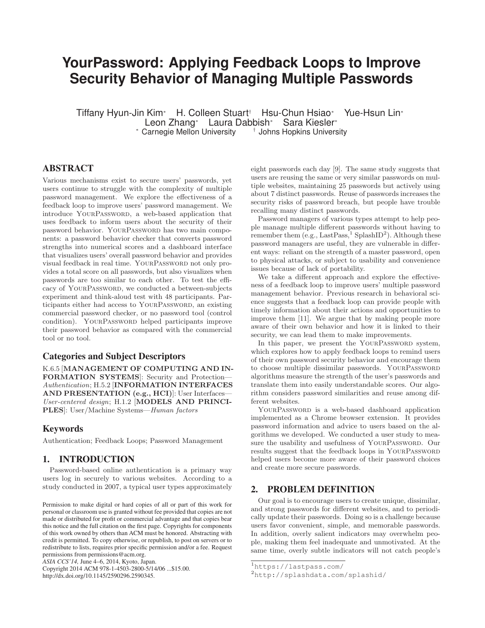# **YourPassword: Applying Feedback Loops to Improve Security Behavior of Managing Multiple Passwords**

Tiffany Hyun-Jin Kim<sup>∗</sup> H. Colleen Stuart<sup>†</sup> Hsu-Chun Hsiao<sup>∗</sup> Yue-Hsun Lin<sup>∗</sup><br>Leon Zhang<sup>∗</sup> Laura Dabbish<sup>∗</sup> Sara Kiesler<sup>∗</sup> Laura Dabbish∗ <sup>∗</sup> Carnegie Mellon University † <sup>†</sup> Johns Hopkins University

## **ABSTRACT**

Various mechanisms exist to secure users' passwords, yet users continue to struggle with the complexity of multiple password management. We explore the effectiveness of a feedback loop to improve users' password management. We introduce YOURPASSWORD, a web-based application that uses feedback to inform users about the security of their password behavior. YourPassword has two main components: a password behavior checker that converts password strengths into numerical scores and a dashboard interface that visualizes users' overall password behavior and provides visual feedback in real time. YourPassword not only provides a total score on all passwords, but also visualizes when passwords are too similar to each other. To test the efficacy of YourPassword, we conducted a between-subjects experiment and think-aloud test with 48 participants. Participants either had access to YourPassword, an existing commercial password checker, or no password tool (control condition). YOURPASSWORD helped participants improve their password behavior as compared with the commercial tool or no tool.

## **Categories and Subject Descriptors**

K.6.5 [MANAGEMENT OF COMPUTING AND IN-FORMATION SYSTEMS]: Security and Protection— Authentication; H.5.2 [INFORMATION INTERFACES AND PRESENTATION (e.g., HCI)]: User Interfaces— User-centered design; H.1.2 [MODELS AND PRINCI-PLES]: User/Machine Systems—Human factors

#### **Keywords**

Authentication; Feedback Loops; Password Management

## **1. INTRODUCTION**

Password-based online authentication is a primary way users log in securely to various websites. According to a study conducted in 2007, a typical user types approximately

Copyright 2014 ACM 978-1-4503-2800-5/14/06 ...\$15.00. http://dx.doi.org/10.1145/2590296.2590345.

eight passwords each day [9]. The same study suggests that users are reusing the same or very similar passwords on multiple websites, maintaining 25 passwords but actively using about 7 distinct passwords. Reuse of passwords increases the security risks of password breach, but people have trouble recalling many distinct passwords.

Password managers of various types attempt to help people manage multiple different passwords without having to remember them  $(e.g., LastPass, 1)$  SplashID<sup>2</sup>). Although these password managers are useful, they are vulnerable in different ways: reliant on the strength of a master password, open to physical attacks, or subject to usability and convenience issues because of lack of portability.

We take a different approach and explore the effectiveness of a feedback loop to improve users' multiple password management behavior. Previous research in behavioral science suggests that a feedback loop can provide people with timely information about their actions and opportunities to improve them [11]. We argue that by making people more aware of their own behavior and how it is linked to their security, we can lead them to make improvements.

In this paper, we present the YOURPASSWORD system, which explores how to apply feedback loops to remind users of their own password security behavior and encourage them to choose multiple dissimilar passwords. YourPassword algorithms measure the strength of the user's passwords and translate them into easily understandable scores. Our algorithm considers password similarities and reuse among different websites.

YOURPASSWORD is a web-based dashboard application implemented as a Chrome browser extension. It provides password information and advice to users based on the algorithms we developed. We conducted a user study to measure the usability and usefulness of YourPassword. Our results suggest that the feedback loops in YourPassword helped users become more aware of their password choices and create more secure passwords.

#### **2. PROBLEM DEFINITION**

Our goal is to encourage users to create unique, dissimilar, and strong passwords for different websites, and to periodically update their passwords. Doing so is a challenge because users favor convenient, simple, and memorable passwords. In addition, overly salient indicators may overwhelm people, making them feel inadequate and unmotivated. At the same time, overly subtle indicators will not catch people's

Permission to make digital or hard copies of all or part of this work for personal or classroom use is granted without fee provided that copies are not made or distributed for profit or commercial advantage and that copies bear this notice and the full citation on the first page. Copyrights for components of this work owned by others than ACM must be honored. Abstracting with credit is permitted. To copy otherwise, or republish, to post on servers or to redistribute to lists, requires prior specific permission and/or a fee. Request permissions from permissions@acm.org.

*ASIA CCS'14,* June 4–6, 2014, Kyoto, Japan.

<sup>1</sup>https://lastpass.com/

<sup>2</sup>http://splashdata.com/splashid/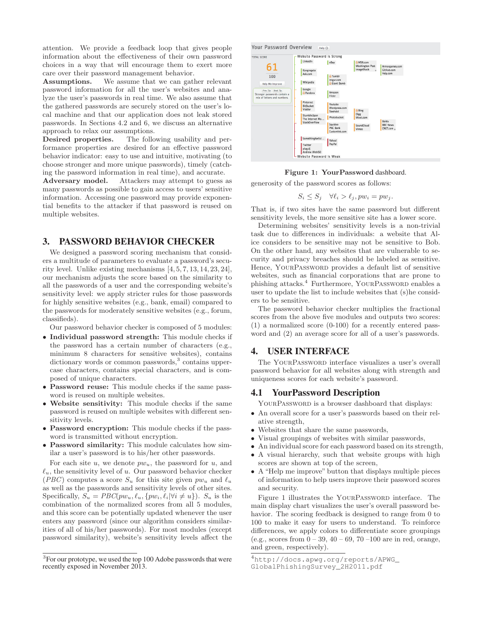attention. We provide a feedback loop that gives people information about the effectiveness of their own password choices in a way that will encourage them to exert more care over their password management behavior.

Assumptions. We assume that we can gather relevant password information for all the user's websites and analyze the user's passwords in real time. We also assume that the gathered passwords are securely stored on the user's local machine and that our application does not leak stored passwords. In Sections 4.2 and 6, we discuss an alternative approach to relax our assumptions.

Desired properties. The following usability and performance properties are desired for an effective password behavior indicator: easy to use and intuitive, motivating (to choose stronger and more unique passwords), timely (catching the password information in real time), and accurate.

Adversary model. Attackers may attempt to guess as many passwords as possible to gain access to users' sensitive information. Accessing one password may provide exponential benefits to the attacker if that password is reused on multiple websites.

## **3. PASSWORD BEHAVIOR CHECKER**

We designed a password scoring mechanism that considers a multitude of parameters to evaluate a password's security level. Unlike existing mechanisms [4, 5, 7, 13, 14, 23, 24], our mechanism adjusts the score based on the similarity to all the passwords of a user and the corresponding website's sensitivity level: we apply stricter rules for those passwords for highly sensitive websites (e.g., bank, email) compared to the passwords for moderately sensitive websites (e.g., forum, classifieds).

Our password behavior checker is composed of 5 modules:

- Individual password strength: This module checks if the password has a certain number of characters (e.g., minimum 8 characters for sensitive websites), contains dictionary words or common passwords,<sup>3</sup> contains uppercase characters, contains special characters, and is composed of unique characters.
- Password reuse: This module checks if the same password is reused on multiple websites.
- Website sensitivity: This module checks if the same password is reused on multiple websites with different sensitivity levels.
- Password encryption: This module checks if the password is transmitted without encryption.
- Password similarity: This module calculates how similar a user's password is to his/her other passwords.

For each site  $u$ , we denote  $pw_u$ , the password for  $u$ , and  $\ell_u$ , the sensitivity level of u. Our password behavior checker (PBC) computes a score  $S_u$  for this site given  $pw_u$  and  $\ell_u$ as well as the passwords and sensitivity levels of other sites. Specifically,  $S_u = PBC(pw_u, \ell_u, \{pw_i, \ell_i | \forall i \neq u\})$ .  $S_u$  is the combination of the normalized scores from all 5 modules, and this score can be potentially updated whenever the user enters any password (since our algorithm considers similarities of all of his/her passwords). For most modules (except password similarity), website's sensitivity levels affect the



#### Figure 1: YourPassword dashboard.

generosity of the password scores as follows:

$$
S_i \leq S_j \quad \forall \ell_i > \ell_j, pw_i = pw_j.
$$

That is, if two sites have the same password but different sensitivity levels, the more sensitive site has a lower score.

Determining websites' sensitivity levels is a non-trivial task due to differences in individuals: a website that Alice considers to be sensitive may not be sensitive to Bob. On the other hand, any websites that are vulnerable to security and privacy breaches should be labeled as sensitive. Hence, YourPassword provides a default list of sensitive websites, such as financial corporations that are prone to phishing attacks.<sup>4</sup> Furthermore, YourPassword enables a user to update the list to include websites that (s)he considers to be sensitive.

The password behavior checker multiplies the fractional scores from the above five modules and outputs two scores: (1) a normalized score (0-100) for a recently entered password and (2) an average score for all of a user's passwords.

#### **4. USER INTERFACE**

The YourPassword interface visualizes a user's overall password behavior for all websites along with strength and uniqueness scores for each website's password.

#### **4.1 YourPassword Description**

YOURPASSWORD is a browser dashboard that displays:

- An overall score for a user's passwords based on their relative strength,
- Websites that share the same passwords,
- $\bullet\,$  Visual groupings of websites with similar passwords,
- An individual score for each password based on its strength,
- A visual hierarchy, such that website groups with high scores are shown at top of the screen,
- A "Help me improve" button that displays multiple pieces of information to help users improve their password scores and security.

Figure 1 illustrates the YourPassword interface. The main display chart visualizes the user's overall password behavior. The scoring feedback is designed to range from 0 to 100 to make it easy for users to understand. To reinforce differences, we apply colors to differentiate score groupings (e.g., scores from  $0 - 39$ ,  $40 - 69$ ,  $70 - 100$  are in red, orange, and green, respectively).

<sup>&</sup>lt;sup>3</sup>For our prototype, we used the top 100 Adobe passwords that were recently exposed in November 2013.

<sup>4</sup>http://docs.apwg.org/reports/APWG\_

GlobalPhishingSurvey\_2H2011.pdf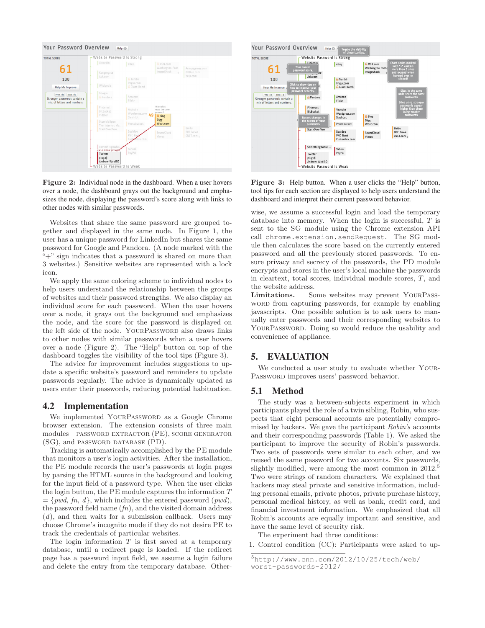

Figure 2: Individual node in the dashboard. When a user hovers over a node, the dashboard grays out the background and emphasizes the node, displaying the password's score along with links to other nodes with similar passwords.

Websites that share the same password are grouped together and displayed in the same node. In Figure 1, the user has a unique password for LinkedIn but shares the same password for Google and Pandora. (A node marked with the "+" sign indicates that a password is shared on more than 3 websites.) Sensitive websites are represented with a lock icon.

We apply the same coloring scheme to individual nodes to help users understand the relationship between the groups of websites and their password strengths. We also display an individual score for each password. When the user hovers over a node, it grays out the background and emphasizes the node, and the score for the password is displayed on the left side of the node. YOURPASSWORD also draws links to other nodes with similar passwords when a user hovers over a node (Figure 2). The "Help" button on top of the dashboard toggles the visibility of the tool tips (Figure 3).

The advice for improvement includes suggestions to update a specific website's password and reminders to update passwords regularly. The advice is dynamically updated as users enter their passwords, reducing potential habituation.

#### **4.2 Implementation**

We implemented YOURPASSWORD as a Google Chrome browser extension. The extension consists of three main modules – password extractor (PE), score generator (SG), and password database (PD).

Tracking is automatically accomplished by the PE module that monitors a user's login activities. After the installation, the PE module records the user's passwords at login pages by parsing the HTML source in the background and looking for the input field of a password type. When the user clicks the login button, the  $PE$  module captures the information  $T$  $=\{pwd, fn, d\}$ , which includes the entered password  $(pwd)$ , the password field name  $(\textit{fn})$ , and the visited domain address  $(d)$ , and then waits for a submission callback. Users may choose Chrome's incognito mode if they do not desire PE to track the credentials of particular websites.

The login information  $T$  is first saved at a temporary database, until a redirect page is loaded. If the redirect page has a password input field, we assume a login failure and delete the entry from the temporary database. Other-



Figure 3: Help button. When a user clicks the "Help" button, tool tips for each section are displayed to help users understand the dashboard and interpret their current password behavior.

wise, we assume a successful login and load the temporary database into memory. When the login is successful, T is sent to the SG module using the Chrome extension API call chrome.extension.sendRequest. The SG module then calculates the score based on the currently entered password and all the previously stored passwords. To ensure privacy and secrecy of the passwords, the PD module encrypts and stores in the user's local machine the passwords in cleartext, total scores, individual module scores, T, and the website address.

Limitations. Some websites may prevent YourPassword from capturing passwords, for example by enabling javascripts. One possible solution is to ask users to manually enter passwords and their corresponding websites to YOURPASSWORD. Doing so would reduce the usability and convenience of appliance.

#### **5. EVALUATION**

We conducted a user study to evaluate whether Your-Password improves users' password behavior.

#### **5.1 Method**

The study was a between-subjects experiment in which participants played the role of a twin sibling, Robin, who suspects that eight personal accounts are potentially compromised by hackers. We gave the participant Robin's accounts and their corresponding passwords (Table 1). We asked the participant to improve the security of Robin's passwords. Two sets of passwords were similar to each other, and we reused the same password for two accounts. Six passwords, slightly modified, were among the most common in  $2012$ .<sup>5</sup> Two were strings of random characters. We explained that hackers may steal private and sensitive information, including personal emails, private photos, private purchase history, personal medical history, as well as bank, credit card, and financial investment information. We emphasized that all Robin's accounts are equally important and sensitive, and have the same level of security risk.

The experiment had three conditions:

1. Control condition (CC): Participants were asked to up-

 $5$ http://www.cnn.com/2012/10/25/tech/web/ worst-passwords-2012/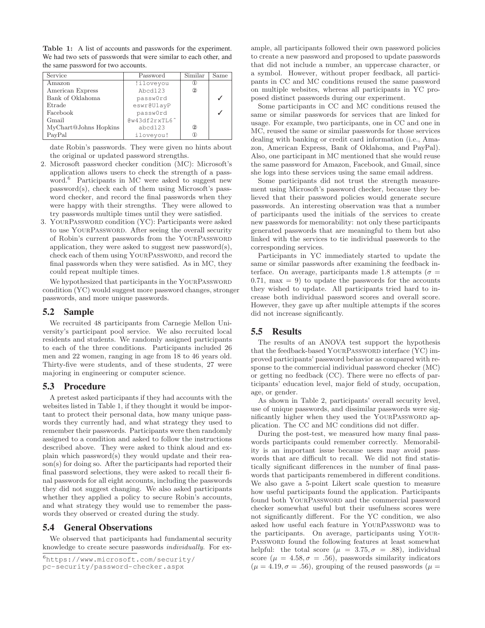Table 1: A list of accounts and passwords for the experiment. We had two sets of passwords that were similar to each other, and the same password for two accounts.

| Service               | Password      | Similar        | Same |
|-----------------------|---------------|----------------|------|
| Amazon                | !iloveyou     | Œ              |      |
| American Express      | Abcd123       | $^{\circledR}$ |      |
| Bank of Oklahoma      | passw0rd      |                |      |
| Etrade                | eswr@UlayP    |                |      |
| Facebook              | passw0rd      |                |      |
| Gmail                 | @w43df2rxTL6^ |                |      |
| MyChart@Johns Hopkins | abcd123       | $\circled{2}$  |      |
| PayPal                | iloveyou!     | Œ.             |      |

date Robin's passwords. They were given no hints about the original or updated password strengths.

- 2. Microsoft password checker condition (MC): Microsoft's application allows users to check the strength of a password.<sup>6</sup> Participants in MC were asked to suggest new password(s), check each of them using Microsoft's password checker, and record the final passwords when they were happy with their strengths. They were allowed to try passwords multiple times until they were satisfied.
- 3. YourPassword condition (YC): Participants were asked to use YOURPASSWORD. After seeing the overall security of Robin's current passwords from the YourPassword application, they were asked to suggest new password $(s)$ , check each of them using YOURPASSWORD, and record the final passwords when they were satisfied. As in MC, they could repeat multiple times.

We hypothesized that participants in the YOURPASSWORD condition (YC) would suggest more password changes, stronger passwords, and more unique passwords.

#### **5.2 Sample**

We recruited 48 participants from Carnegie Mellon University's participant pool service. We also recruited local residents and students. We randomly assigned participants to each of the three conditions. Participants included 26 men and 22 women, ranging in age from 18 to 46 years old. Thirty-five were students, and of these students, 27 were majoring in engineering or computer science.

#### **5.3 Procedure**

A pretest asked participants if they had accounts with the websites listed in Table 1, if they thought it would be important to protect their personal data, how many unique passwords they currently had, and what strategy they used to remember their passwords. Participants were then randomly assigned to a condition and asked to follow the instructions described above. They were asked to think aloud and explain which password(s) they would update and their reason(s) for doing so. After the participants had reported their final password selections, they were asked to recall their final passwords for all eight accounts, including the passwords they did not suggest changing. We also asked participants whether they applied a policy to secure Robin's accounts, and what strategy they would use to remember the passwords they observed or created during the study.

#### **5.4 General Observations**

We observed that participants had fundamental security knowledge to create secure passwords individually. For ex-

<sup>6</sup>https://www.microsoft.com/security/

pc-security/password-checker.aspx

ample, all participants followed their own password policies to create a new password and proposed to update passwords that did not include a number, an uppercase character, or a symbol. However, without proper feedback, all participants in CC and MC conditions reused the same password on multiple websites, whereas all participants in YC proposed distinct passwords during our experiment.

Some participants in CC and MC conditions reused the same or similar passwords for services that are linked for usage. For example, two participants, one in CC and one in MC, reused the same or similar passwords for those services dealing with banking or credit card information (i.e., Amazon, American Express, Bank of Oklahoma, and PayPal). Also, one participant in MC mentioned that she would reuse the same password for Amazon, Facebook, and Gmail, since she logs into these services using the same email address.

Some participants did not trust the strength measurement using Microsoft's password checker, because they believed that their password policies would generate secure passwords. An interesting observation was that a number of participants used the initials of the services to create new passwords for memorability: not only these participants generated passwords that are meaningful to them but also linked with the services to tie individual passwords to the corresponding services.

Participants in YC immediately started to update the same or similar passwords after examining the feedback interface. On average, participants made 1.8 attempts ( $\sigma =$  $(0.71, \text{max} = 9)$  to update the passwords for the accounts they wished to update. All participants tried hard to increase both individual password scores and overall score. However, they gave up after multiple attempts if the scores did not increase significantly.

#### **5.5 Results**

The results of an ANOVA test support the hypothesis that the feedback-based YOURPASSWORD interface (YC) improved participants' password behavior as compared with response to the commercial individual password checker (MC) or getting no feedback (CC). There were no effects of participants' education level, major field of study, occupation, age, or gender.

As shown in Table 2, participants' overall security level, use of unique passwords, and dissimilar passwords were significantly higher when they used the YOURPASSWORD application. The CC and MC conditions did not differ.

During the post-test, we measured how many final passwords participants could remember correctly. Memorability is an important issue because users may avoid passwords that are difficult to recall. We did not find statistically significant differences in the number of final passwords that participants remembered in different conditions. We also gave a 5-point Likert scale question to measure how useful participants found the application. Participants found both YourPassword and the commercial password checker somewhat useful but their usefulness scores were not significantly different. For the YC condition, we also asked how useful each feature in YOURPASSWORD was to the participants. On average, participants using Your-Password found the following features at least somewhat helpful: the total score ( $\mu = 3.75, \sigma = .88$ ), individual score ( $\mu = 4.58, \sigma = .56$ ), passwords similarity indicators  $(\mu = 4.19, \sigma = .56)$ , grouping of the reused passwords  $(\mu = 100)$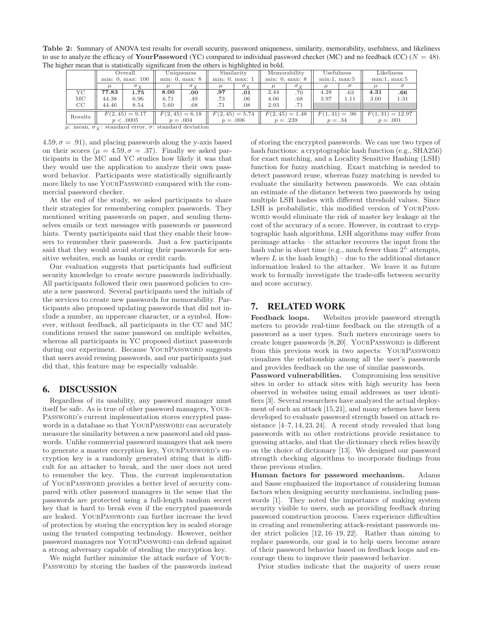Table 2: Summary of ANOVA test results for overall security, password uniqueness, similarity, memorability, usefulness, and likeliness to use to analyze the efficacy of YourPassword (YC) compared to individual password checker (MC) and no feedback (CC) ( $N = 48$ ). The higher mean that is statistically significant from the others is highlighted in bold.

|                                                                                  | Overall           |                    | Uniqueness     |                    | Similarity     |                    | Memorability      |                    | Usefulness      |          | Likeliness        |          |
|----------------------------------------------------------------------------------|-------------------|--------------------|----------------|--------------------|----------------|--------------------|-------------------|--------------------|-----------------|----------|-------------------|----------|
|                                                                                  | min: 0, max: 100  |                    | min: 0, max: 8 |                    | min: 0. max: 1 |                    | min: 0, max: 8    |                    | min:1. max:5    |          | min:1, max:5      |          |
|                                                                                  |                   | $\sigma_{\bar{Y}}$ |                | $\sigma_{\bar{X}}$ |                | $\sigma_{\bar{X}}$ |                   | $\sigma_{\bar{X}}$ |                 | $\sigma$ |                   | $\sigma$ |
| YС                                                                               | 77.83             | 1.75               | 8.00           | .00                | .97            | .01                | 2.44              | .70                | 4.28            | .63      | 4.31              | .66      |
| MC                                                                               | 44.38             | 6.96               | 6.71           | .49                | .73            | .06                | 4.06              | .68                | 3.97            | 1.11     | 3.00              | 1.31     |
| $_{\rm CC}$                                                                      | 44.46             | 8.54               | 5.60           | .68                | .71            | .08                | 2.93              | .71                |                 |          |                   |          |
| Results                                                                          | $F(2, 45) = 9.17$ |                    |                | $F(2, 45) = 6.18$  |                | $F(2, 45) = 5.74$  | $F(2, 45) = 1.48$ |                    | $F(1,31) = .96$ |          | $F(1,31) = 12.97$ |          |
|                                                                                  | p < .0005         |                    |                | $p=.004$           |                | $p=.006$           | $p=.239$          |                    | $p=.34$         |          | $p=.001$          |          |
| $\mu$ : mean, $\sigma_{\bar{X}}$ : standard error, $\sigma$ : standard deviation |                   |                    |                |                    |                |                    |                   |                    |                 |          |                   |          |

 $4.59, \sigma = .91$ , and placing passwords along the y-axis based on their scores ( $\mu = 4.59, \sigma = .37$ ). Finally we asked participants in the MC and YC studies how likely it was that they would use the application to analyze their own password behavior. Participants were statistically significantly more likely to use YourPassword compared with the commercial password checker.

At the end of the study, we asked participants to share their strategies for remembering complex passwords. They mentioned writing passwords on paper, and sending themselves emails or text messages with passwords or password hints. Twenty participants said that they enable their browsers to remember their passwords. Just a few participants said that they would avoid storing their passwords for sensitive websites, such as banks or credit cards.

Our evaluation suggests that participants had sufficient security knowledge to create secure passwords individually. All participants followed their own password policies to create a new password. Several participants used the initials of the services to create new passwords for memorability. Participants also proposed updating passwords that did not include a number, an uppercase character, or a symbol. However, without feedback, all participants in the CC and MC conditions reused the same password on multiple websites, whereas all participants in YC proposed distinct passwords during our experiment. Because YOURPASSWORD suggests that users avoid reusing passwords, and our participants just did that, this feature may be especially valuable.

#### **6. DISCUSSION**

Regardless of its usability, any password manager must itself be safe. As is true of other password managers, Your-PASSWORD's current implementation stores encrypted passwords in a database so that YOURPASSWORD can accurately measure the similarity between a new password and old passwords. Unlike commercial password managers that ask users to generate a master encryption key, YOURPASSWORD's encryption key is a randomly generated string that is difficult for an attacker to break, and the user does not need to remember the key. Thus, the current implementation of YourPassword provides a better level of security compared with other password managers in the sense that the passwords are protected using a full-length random secret key that is hard to break even if the encrypted passwords are leaked. YOURPASSWORD can further increase the level of protection by storing the encryption key in sealed storage using the trusted computing technology. However, neither password managers nor YourPassword can defend against a strong adversary capable of stealing the encryption key.

We might further minimize the attack surface of Your-PASSWORD by storing the hashes of the passwords instead of storing the encrypted passwords. We can use two types of hash functions: a cryptographic hash function (e.g., SHA256) for exact matching, and a Locality Sensitive Hashing (LSH) function for fuzzy matching. Exact matching is needed to detect password reuse, whereas fuzzy matching is needed to evaluate the similarity between passwords. We can obtain an estimate of the distance between two passwords by using multiple LSH hashes with different threshold values. Since LSH is probabilistic, this modified version of YourPassword would eliminate the risk of master key leakage at the cost of the accuracy of a score. However, in contrast to cryptographic hash algorithms, LSH algorithms may suffer from preimage attacks – the attacker recovers the input from the hash value in short time (e.g., much fewer than  $2^L$  attempts, where  $L$  is the hash length) – due to the additional distance information leaked to the attacker. We leave it as future work to formally investigate the trade-offs between security and score accuracy.

#### **7. RELATED WORK**

Feedback loops. Websites provide password strength meters to provide real-time feedback on the strength of a password as a user types. Such meters encourage users to create longer passwords [8, 20]. YourPassword is different from this previous work in two aspects: YourPassword visualizes the relationship among all the user's passwords and provides feedback on the use of similar passwords.

Password vulnerabilities. Compromising less sensitive sites in order to attack sites with high security has been observed in websites using email addresses as user identifiers [3]. Several researchers have analyzed the actual deployment of such an attack [15,21], and many schemes have been developed to evaluate password strength based on attack resistance [4–7, 14, 23, 24]. A recent study revealed that long passwords with no other restrictions provide resistance to guessing attacks, and that the dictionary check relies heavily on the choice of dictionary [13]. We designed our password strength checking algorithms to incorporate findings from these previous studies.

Human factors for password mechanism. Adams and Sasse emphasized the importance of considering human factors when designing security mechanisms, including passwords [1]. They noted the importance of making system security visible to users, such as providing feedback during password construction process. Users experience difficulties in creating and remembering attack-resistant passwords under strict policies [12, 16–19, 22]. Rather than aiming to replace passwords, our goal is to help users become aware of their password behavior based on feedback loops and encourage them to improve their password behavior.

Prior studies indicate that the majority of users reuse